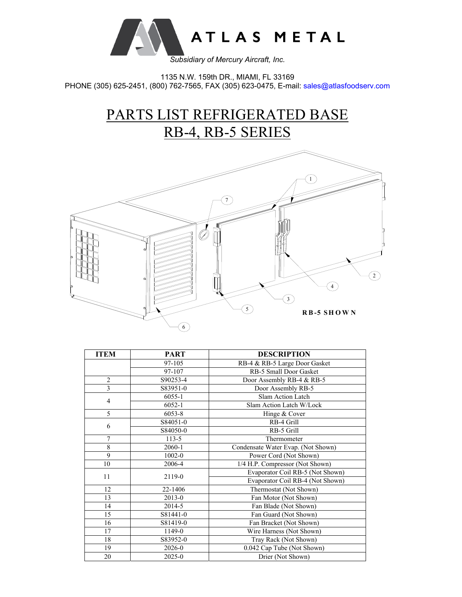

1135 N.W. 159th DR., MIAMI, FL 33169 PHONE (305) 625-2451, (800) 762-7565, FAX (305) 623-0475, E-mail: sales@atlasfoodserv.com

> PARTS LIST REFRIGERATED BASE RB-4, RB-5 SERIES



| <b>ITEM</b>    | <b>PART</b> | <b>DESCRIPTION</b>                 |  |
|----------------|-------------|------------------------------------|--|
|                | 97-105      | RB-4 & RB-5 Large Door Gasket      |  |
|                | 97-107      | RB-5 Small Door Gasket             |  |
| $\overline{2}$ | S90253-4    | Door Assembly RB-4 & RB-5          |  |
| 3              | S83951-0    | Door Assembly RB-5                 |  |
| $\overline{4}$ | 6055-1      | Slam Action Latch                  |  |
|                | $6052 - 1$  | Slam Action Latch W/Lock           |  |
| 5              | 6053-8      | Hinge & Cover                      |  |
| 6              | S84051-0    | RB-4 Grill                         |  |
|                | S84050-0    | RB-5 Grill                         |  |
| $\overline{7}$ | $113 - 5$   | Thermometer                        |  |
| 8              | 2060-1      | Condensate Water Evap. (Not Shown) |  |
| 9              | 1002-0      | Power Cord (Not Shown)             |  |
| 10             | 2006-4      | 1/4 H.P. Compressor (Not Shown)    |  |
| 11             | 2119-0      | Evaporator Coil RB-5 (Not Shown)   |  |
|                |             | Evaporator Coil RB-4 (Not Shown)   |  |
| 12             | 22-1406     | Thermostat (Not Shown)             |  |
| 13             | $2013 - 0$  | Fan Motor (Not Shown)              |  |
| 14             | 2014-5      | Fan Blade (Not Shown)              |  |
| 15             | S81441-0    | Fan Guard (Not Shown)              |  |
| 16             | S81419-0    | Fan Bracket (Not Shown)            |  |
| 17             | 1149-0      | Wire Harness (Not Shown)           |  |
| 18             | S83952-0    | Tray Rack (Not Shown)              |  |
| 19             | 2026-0      | 0.042 Cap Tube (Not Shown)         |  |
| 20             | 2025-0      | Drier (Not Shown)                  |  |